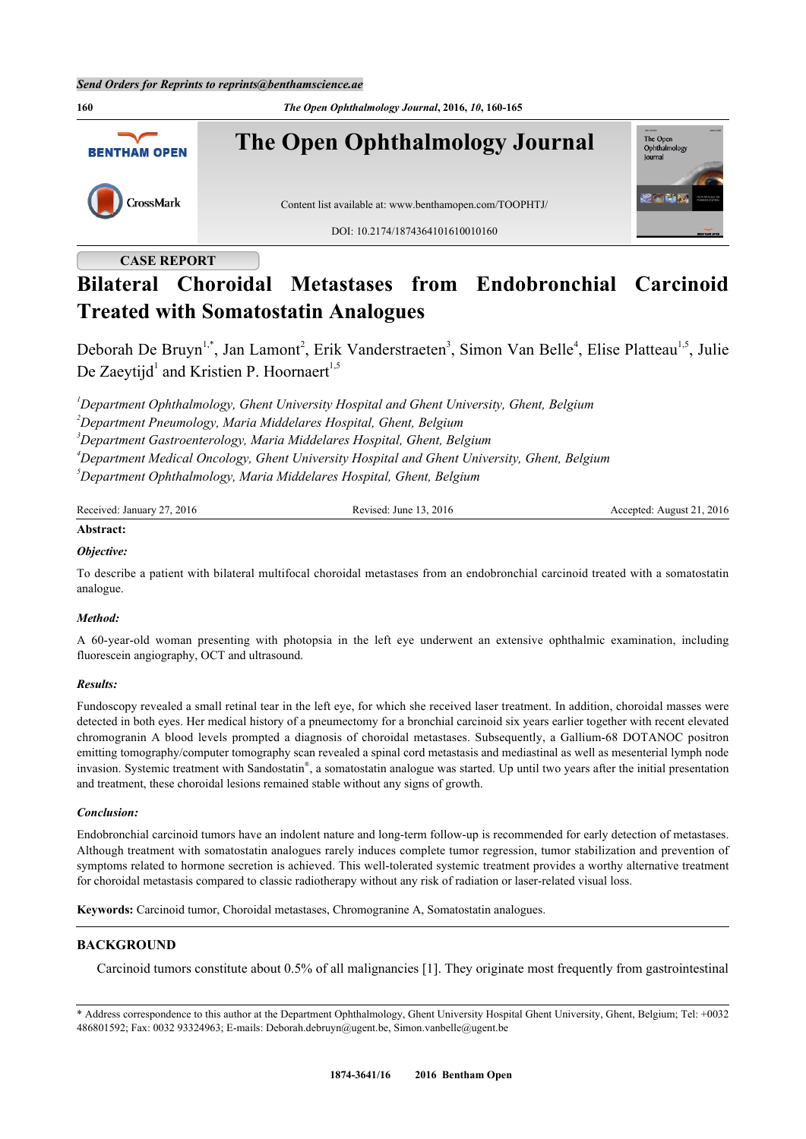

# **CASE REPORT**

# **Bilateral Choroidal Metastases from Endobronchial Carcinoid Treated with Somatostatin Analogues**

Deborah De Bruyn<sup>[1](#page-0-0),[\\*](#page-0-1)</sup>, Jan Lamont<sup>[2](#page-0-2)</sup>, Erik Vanderstraeten<sup>[3](#page-0-3)</sup>, Simon Van Belle<sup>[4](#page-0-4)</sup>, Elise Platteau<sup>1,[5](#page-0-5)</sup>, Julie De Zaeytijd<sup>[1](#page-0-0)</sup> and Kristien P. Hoornaert<sup>[1,](#page-0-0)[5](#page-0-5)</sup>

<span id="page-0-3"></span><span id="page-0-2"></span><span id="page-0-0"></span>*Department Ophthalmology, Ghent University Hospital and Ghent University, Ghent, Belgium Department Pneumology, Maria Middelares Hospital, Ghent, Belgium Department Gastroenterology, Maria Middelares Hospital, Ghent, Belgium Department Medical Oncology, Ghent University Hospital and Ghent University, Ghent, Belgium Department Ophthalmology, Maria Middelares Hospital, Ghent, Belgium*

<span id="page-0-5"></span><span id="page-0-4"></span>

| Received: January 27, 2016 | Revised: June 13, 2016 | Accepted: August 21, 2016 |
|----------------------------|------------------------|---------------------------|
| .                          |                        |                           |

# **Abstract:**

## *Objective:*

To describe a patient with bilateral multifocal choroidal metastases from an endobronchial carcinoid treated with a somatostatin analogue.

## *Method:*

A 60-year-old woman presenting with photopsia in the left eye underwent an extensive ophthalmic examination, including fluorescein angiography, OCT and ultrasound.

## *Results:*

Fundoscopy revealed a small retinal tear in the left eye, for which she received laser treatment. In addition, choroidal masses were detected in both eyes. Her medical history of a pneumectomy for a bronchial carcinoid six years earlier together with recent elevated chromogranin A blood levels prompted a diagnosis of choroidal metastases. Subsequently, a Gallium-68 DOTANOC positron emitting tomography/computer tomography scan revealed a spinal cord metastasis and mediastinal as well as mesenterial lymph node invasion. Systemic treatment with Sandostatin®, a somatostatin analogue was started. Up until two years after the initial presentation and treatment, these choroidal lesions remained stable without any signs of growth.

## *Conclusion:*

Endobronchial carcinoid tumors have an indolent nature and long-term follow-up is recommended for early detection of metastases. Although treatment with somatostatin analogues rarely induces complete tumor regression, tumor stabilization and prevention of symptoms related to hormone secretion is achieved. This well-tolerated systemic treatment provides a worthy alternative treatment for choroidal metastasis compared to classic radiotherapy without any risk of radiation or laser-related visual loss.

**Keywords:** Carcinoid tumor, Choroidal metastases, Chromogranine A, Somatostatin analogues.

## **BACKGROUND**

Carcinoid tumors constitute about 0.5% of all malignancies [\[1](#page-4-0)]. They originate most frequently from gastrointestinal

<span id="page-0-1"></span><sup>\*</sup> Address correspondence to this author at the Department Ophthalmology, Ghent University Hospital Ghent University, Ghent, Belgium; Tel: +0032 486801592; Fax: 0032 93324963; E-mails: [Deborah.debruyn@ugent.be,](mailto:Deborah.debruyn@ugent.be) [Simon.vanbelle@ugent.be](mailto:Simon.vanbelle@ugent.be)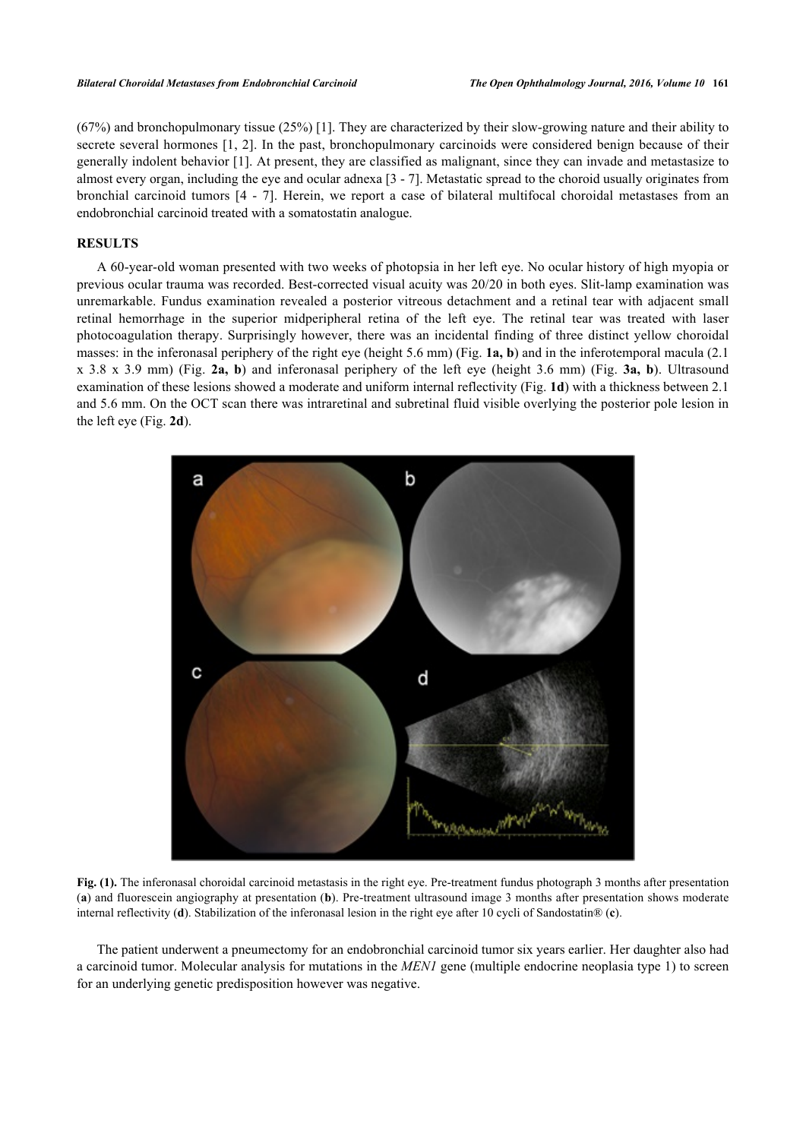(67%) and bronchopulmonary tissue (25%) [[1](#page-4-0)]. They are characterized by their slow-growing nature and their ability to secrete several hormones [[1](#page-4-0), [2](#page-4-1)]. In the past, bronchopulmonary carcinoids were considered benign because of their generally indolent behavior [[1\]](#page-4-0). At present, they are classified as malignant, since they can invade and metastasize to almost every organ, including the eye and ocular adnexa [\[3](#page-4-2) - [7\]](#page-4-3). Metastatic spread to the choroid usually originates from bronchial carcinoid tumors [\[4](#page-4-4) - [7](#page-4-3)]. Herein, we report a case of bilateral multifocal choroidal metastases from an endobronchial carcinoid treated with a somatostatin analogue.

## **RESULTS**

A 60-year-old woman presented with two weeks of photopsia in her left eye. No ocular history of high myopia or previous ocular trauma was recorded. Best-corrected visual acuity was 20/20 in both eyes. Slit-lamp examination was unremarkable. Fundus examination revealed a posterior vitreous detachment and a retinal tear with adjacent small retinal hemorrhage in the superior midperipheral retina of the left eye. The retinal tear was treated with laser photocoagulation therapy. Surprisingly however, there was an incidental finding of three distinct yellow choroidal masses: in the inferonasal periphery of the right eye (height 5.6 mm) (Fig. **[1a, b](#page-1-0)**) and in the inferotemporal macula (2.1 x 3.8 x 3.9 mm) (Fig. **[2a, b](#page-1-1)**) and inferonasal periphery of the left eye (height 3.6 mm) (Fig. **[3a, b](#page-2-0)**). Ultrasound examination of these lesions showed a moderate and uniform internal reflectivity (Fig. **[1d](#page-1-0)**) with a thickness between 2.1 and 5.6 mm. On the OCT scan there was intraretinal and subretinal fluid visible overlying the posterior pole lesion in the left eye (Fig. **[2d](#page-1-1)**).

<span id="page-1-0"></span>

**Fig. (1).** The inferonasal choroidal carcinoid metastasis in the right eye. Pre-treatment fundus photograph 3 months after presentation (**a**) and fluorescein angiography at presentation (**b**). Pre-treatment ultrasound image 3 months after presentation shows moderate internal reflectivity (**d**). Stabilization of the inferonasal lesion in the right eye after 10 cycli of Sandostatin® (**c**).

<span id="page-1-1"></span>The patient underwent a pneumectomy for an endobronchial carcinoid tumor six years earlier. Her daughter also had a carcinoid tumor. Molecular analysis for mutations in the *MEN1* gene (multiple endocrine neoplasia type 1) to screen for an underlying genetic predisposition however was negative.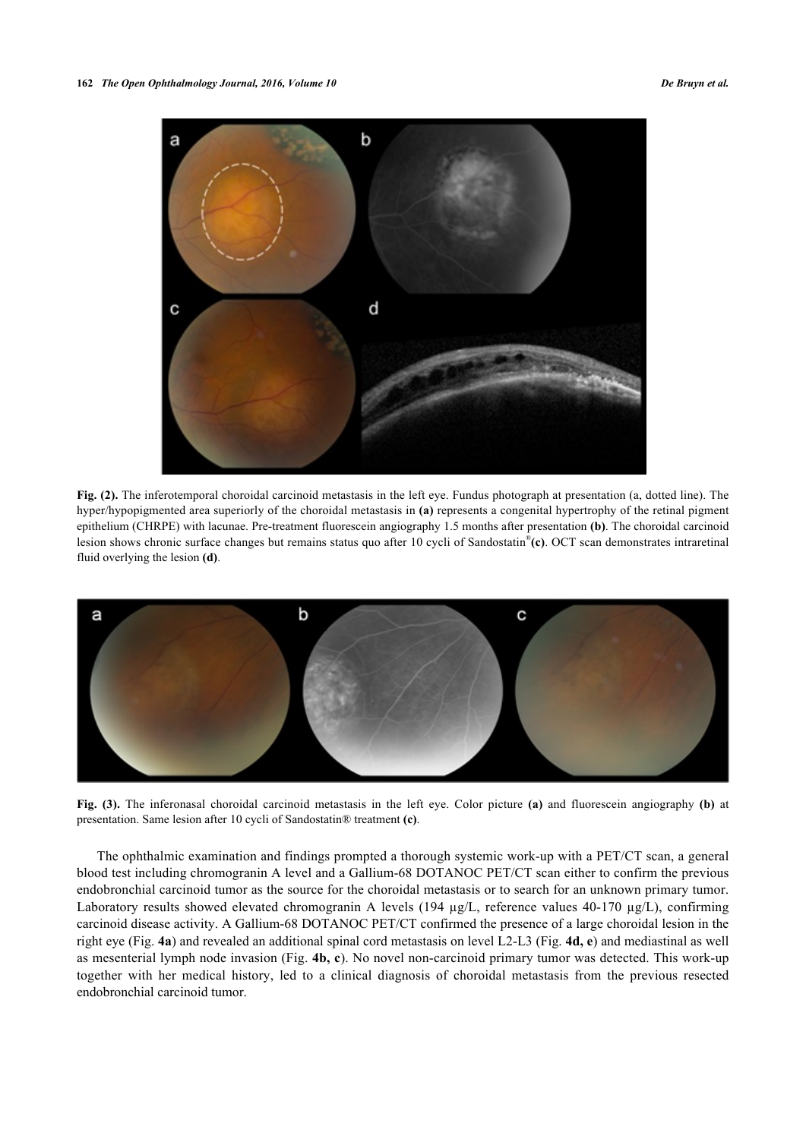

**Fig. (2).** The inferotemporal choroidal carcinoid metastasis in the left eye. Fundus photograph at presentation (a, dotted line). The hyper/hypopigmented area superiorly of the choroidal metastasis in **(a)** represents a congenital hypertrophy of the retinal pigment epithelium (CHRPE) with lacunae. Pre-treatment fluorescein angiography 1.5 months after presentation **(b)**. The choroidal carcinoid lesion shows chronic surface changes but remains status quo after 10 cycli of Sandostatin® **(c)**. OCT scan demonstrates intraretinal fluid overlying the lesion **(d)**.

<span id="page-2-0"></span>

**Fig. (3).** The inferonasal choroidal carcinoid metastasis in the left eye. Color picture **(a)** and fluorescein angiography **(b)** at presentation. Same lesion after 10 cycli of Sandostatin® treatment **(c)**.

<span id="page-2-1"></span>The ophthalmic examination and findings prompted a thorough systemic work-up with a PET/CT scan, a general blood test including chromogranin A level and a Gallium-68 DOTANOC PET/CT scan either to confirm the previous endobronchial carcinoid tumor as the source for the choroidal metastasis or to search for an unknown primary tumor. Laboratory results showed elevated chromogranin A levels (194 µg/L, reference values 40-170 µg/L), confirming carcinoid disease activity. A Gallium-68 DOTANOC PET/CT confirmed the presence of a large choroidal lesion in the right eye (Fig. **[4a](#page-2-1)**) and revealed an additional spinal cord metastasis on level L2-L3 (Fig. **[4d, e](#page-2-1)**) and mediastinal as well as mesenterial lymph node invasion (Fig. **[4b, c](#page-2-1)**). No novel non-carcinoid primary tumor was detected. This work-up together with her medical history, led to a clinical diagnosis of choroidal metastasis from the previous resected endobronchial carcinoid tumor.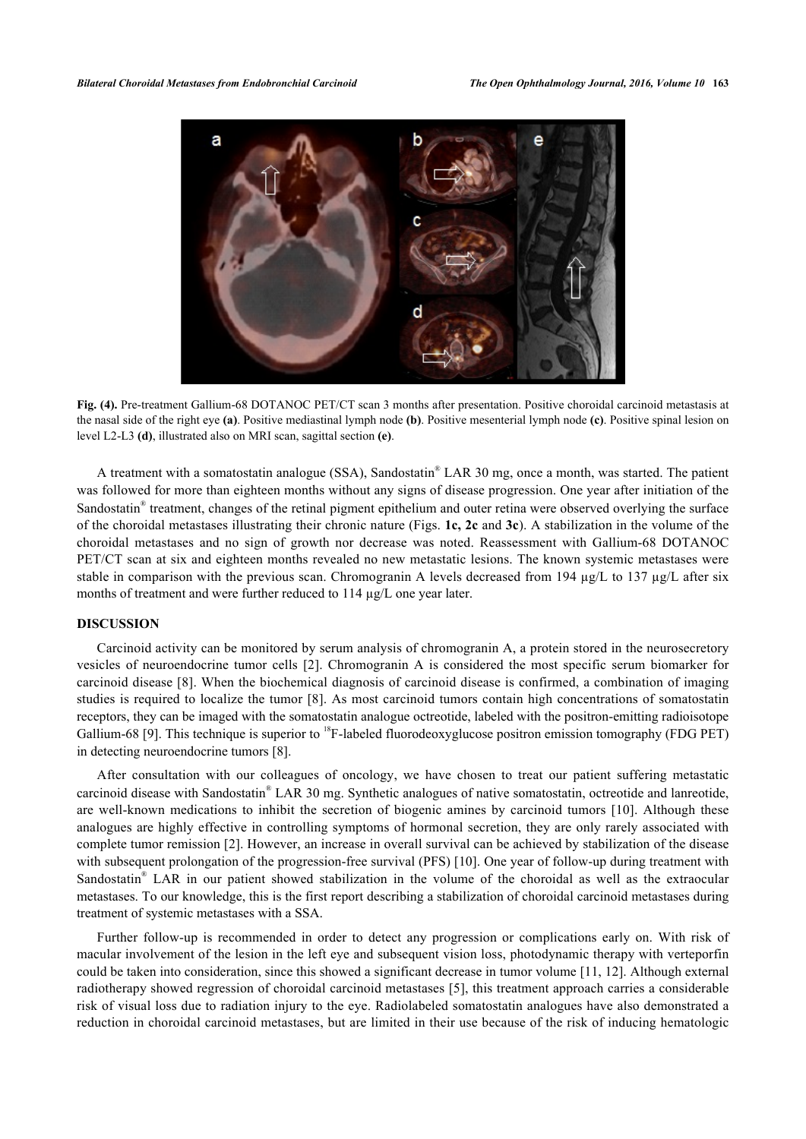

**Fig. (4).** Pre-treatment Gallium-68 DOTANOC PET/CT scan 3 months after presentation. Positive choroidal carcinoid metastasis at the nasal side of the right eye **(a)**. Positive mediastinal lymph node **(b)**. Positive mesenterial lymph node **(c)**. Positive spinal lesion on level L2-L3 **(d)**, illustrated also on MRI scan, sagittal section **(e)**.

A treatment with a somatostatin analogue (SSA), Sandostatin® LAR 30 mg, once a month, was started. The patient was followed for more than eighteen months without any signs of disease progression. One year after initiation of the Sandostatin<sup>®</sup> treatment, changes of the retinal pigment epithelium and outer retina were observed overlying the surface of the choroidal metastases illustrating their chronic nature (Figs. **[1c](#page-1-0), [2c](#page-1-1)** and **[3c](#page-2-0)**). A stabilization in the volume of the choroidal metastases and no sign of growth nor decrease was noted. Reassessment with Gallium-68 DOTANOC PET/CT scan at six and eighteen months revealed no new metastatic lesions. The known systemic metastases were stable in comparison with the previous scan. Chromogranin A levels decreased from 194 µg/L to 137 µg/L after six months of treatment and were further reduced to 114 µg/L one year later.

## **DISCUSSION**

Carcinoid activity can be monitored by serum analysis of chromogranin A, a protein stored in the neurosecretory vesicles of neuroendocrine tumor cells [\[2\]](#page-4-1). Chromogranin A is considered the most specific serum biomarker for carcinoid disease [\[8](#page-5-0)]. When the biochemical diagnosis of carcinoid disease is confirmed, a combination of imaging studies is required to localize the tumor [[8\]](#page-5-0). As most carcinoid tumors contain high concentrations of somatostatin receptors, they can be imaged with the somatostatin analogue octreotide, labeled with the positron-emitting radioisotope Gallium-68 [[9\]](#page-5-1). This technique is superior to <sup>18</sup>F-labeled fluorodeoxyglucose positron emission tomography (FDG PET) in detecting neuroendocrine tumors [\[8](#page-5-0)].

After consultation with our colleagues of oncology, we have chosen to treat our patient suffering metastatic carcinoid disease with Sandostatin® LAR 30 mg. Synthetic analogues of native somatostatin, octreotide and lanreotide, are well-known medications to inhibit the secretion of biogenic amines by carcinoid tumors[[10](#page-5-2)]. Although these analogues are highly effective in controlling symptoms of hormonal secretion, they are only rarely associated with complete tumor remission [[2](#page-4-1)]. However, an increase in overall survival can be achieved by stabilization of the disease with subsequent prolongation of the progression-free survival (PFS) [[10](#page-5-2)]. One year of follow-up during treatment with Sandostatin<sup>®</sup> LAR in our patient showed stabilization in the volume of the choroidal as well as the extraocular metastases. To our knowledge, this is the first report describing a stabilization of choroidal carcinoid metastases during treatment of systemic metastases with a SSA.

Further follow-up is recommended in order to detect any progression or complications early on. With risk of macular involvement of the lesion in the left eye and subsequent vision loss, photodynamic therapy with verteporfin could be taken into consideration, since this showed a significant decrease in tumor volume [[11,](#page-5-3) [12](#page-5-4)]. Although external radiotherapy showed regression of choroidal carcinoid metastases [[5](#page-4-5)], this treatment approach carries a considerable risk of visual loss due to radiation injury to the eye. Radiolabeled somatostatin analogues have also demonstrated a reduction in choroidal carcinoid metastases, but are limited in their use because of the risk of inducing hematologic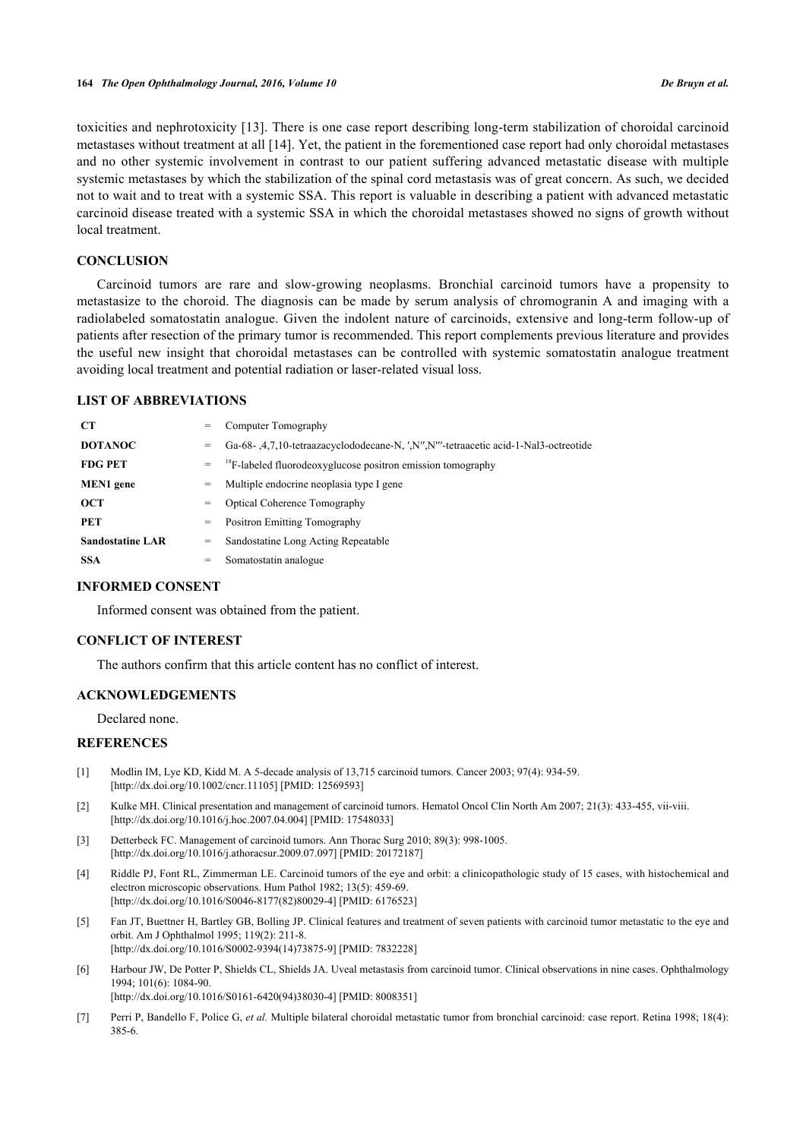toxicities and nephrotoxicity [[13\]](#page-5-5). There is one case report describing long-term stabilization of choroidal carcinoid metastases without treatment at all [[14\]](#page-5-6). Yet, the patient in the forementioned case report had only choroidal metastases and no other systemic involvement in contrast to our patient suffering advanced metastatic disease with multiple systemic metastases by which the stabilization of the spinal cord metastasis was of great concern. As such, we decided not to wait and to treat with a systemic SSA. This report is valuable in describing a patient with advanced metastatic carcinoid disease treated with a systemic SSA in which the choroidal metastases showed no signs of growth without local treatment.

# **CONCLUSION**

Carcinoid tumors are rare and slow-growing neoplasms. Bronchial carcinoid tumors have a propensity to metastasize to the choroid. The diagnosis can be made by serum analysis of chromogranin A and imaging with a radiolabeled somatostatin analogue. Given the indolent nature of carcinoids, extensive and long-term follow-up of patients after resection of the primary tumor is recommended. This report complements previous literature and provides the useful new insight that choroidal metastases can be controlled with systemic somatostatin analogue treatment avoiding local treatment and potential radiation or laser-related visual loss.

## **LIST OF ABBREVIATIONS**

| <b>CT</b>               | $=$ | Computer Tomography                                                                     |
|-------------------------|-----|-----------------------------------------------------------------------------------------|
| <b>DOTANOC</b>          | $=$ | Ga-68-, 4, 7, 10-tetraazacyclododecane-N, ', N", N"'-tetraacetic acid-1-Nal3-octreotide |
| <b>FDG PET</b>          | $=$ | <sup>18</sup> F-labeled fluorodeoxyglucose positron emission tomography                 |
| <b>MEN1</b> gene        | =   | Multiple endocrine neoplasia type I gene                                                |
| <b>OCT</b>              | =   | <b>Optical Coherence Tomography</b>                                                     |
| PET                     | =   | <b>Positron Emitting Tomography</b>                                                     |
| <b>Sandostatine LAR</b> | =   | Sandostatine Long Acting Repeatable                                                     |
| <b>SSA</b>              | =   | Somatostatin analogue                                                                   |

#### **INFORMED CONSENT**

Informed consent was obtained from the patient.

#### **CONFLICT OF INTEREST**

The authors confirm that this article content has no conflict of interest.

## **ACKNOWLEDGEMENTS**

Declared none.

#### **REFERENCES**

- <span id="page-4-0"></span>[1] Modlin IM, Lye KD, Kidd M. A 5-decade analysis of 13,715 carcinoid tumors. Cancer 2003; 97(4): 934-59. [\[http://dx.doi.org/10.1002/cncr.11105\]](http://dx.doi.org/10.1002/cncr.11105) [PMID: [12569593](http://www.ncbi.nlm.nih.gov/pubmed/12569593)]
- <span id="page-4-1"></span>[2] Kulke MH. Clinical presentation and management of carcinoid tumors. Hematol Oncol Clin North Am 2007; 21(3): 433-455, vii-viii. [\[http://dx.doi.org/10.1016/j.hoc.2007.04.004\]](http://dx.doi.org/10.1016/j.hoc.2007.04.004) [PMID: [17548033](http://www.ncbi.nlm.nih.gov/pubmed/17548033)]
- <span id="page-4-2"></span>[3] Detterbeck FC. Management of carcinoid tumors. Ann Thorac Surg 2010; 89(3): 998-1005. [\[http://dx.doi.org/10.1016/j.athoracsur.2009.07.097](http://dx.doi.org/10.1016/j.athoracsur.2009.07.097)] [PMID: [20172187\]](http://www.ncbi.nlm.nih.gov/pubmed/20172187)
- <span id="page-4-4"></span>[4] Riddle PJ, Font RL, Zimmerman LE. Carcinoid tumors of the eye and orbit: a clinicopathologic study of 15 cases, with histochemical and electron microscopic observations. Hum Pathol 1982; 13(5): 459-69. [\[http://dx.doi.org/10.1016/S0046-8177\(82\)80029-4\]](http://dx.doi.org/10.1016/S0046-8177(82)80029-4) [PMID: [6176523](http://www.ncbi.nlm.nih.gov/pubmed/6176523)]
- <span id="page-4-5"></span>[5] Fan JT, Buettner H, Bartley GB, Bolling JP. Clinical features and treatment of seven patients with carcinoid tumor metastatic to the eye and orbit. Am J Ophthalmol 1995; 119(2): 211-8. [\[http://dx.doi.org/10.1016/S0002-9394\(14\)73875-9\]](http://dx.doi.org/10.1016/S0002-9394(14)73875-9) [PMID: [7832228](http://www.ncbi.nlm.nih.gov/pubmed/7832228)]
- [6] Harbour JW, De Potter P, Shields CL, Shields JA. Uveal metastasis from carcinoid tumor. Clinical observations in nine cases. Ophthalmology 1994; 101(6): 1084-90.

[\[http://dx.doi.org/10.1016/S0161-6420\(94\)38030-4\]](http://dx.doi.org/10.1016/S0161-6420(94)38030-4) [PMID: [8008351](http://www.ncbi.nlm.nih.gov/pubmed/8008351)]

<span id="page-4-3"></span>[7] Perri P, Bandello F, Police G, *et al.* Multiple bilateral choroidal metastatic tumor from bronchial carcinoid: case report. Retina 1998; 18(4): 385-6.